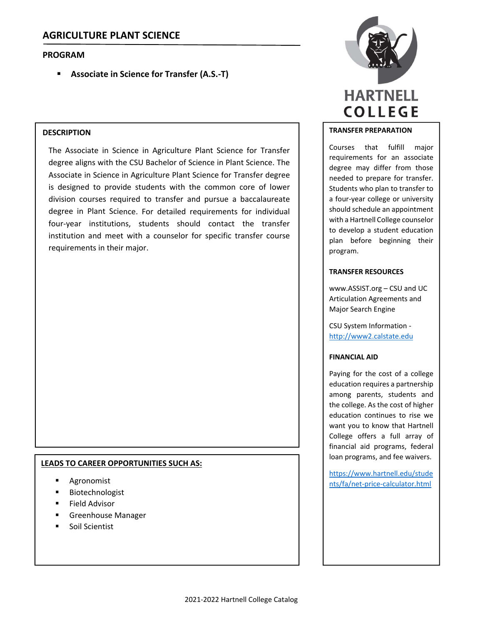## **PROGRAM**

**Associate in Science for Transfer (A.S.‐T)**

## **DESCRIPTION**

The Associate in Science in Agriculture Plant Science for Transfer degree aligns with the CSU Bachelor of Science in Plant Science. The Associate in Science in Agriculture Plant Science for Transfer degree is designed to provide students with the common core of lower division courses required to transfer and pursue a baccalaureate degree in Plant Science. For detailed requirements for individual four‐year institutions, students should contact the transfer institution and meet with a counselor for specific transfer course requirements in their major.

### **LEADS TO CAREER OPPORTUNITIES SUCH AS:**

- Agronomist
- Biotechnologist
- Field Advisor
- Greenhouse Manager
- Soil Scientist



### **TRANSFER PREPARATION**

Courses that fulfill major requirements for an associate degree may differ from those needed to prepare for transfer. Students who plan to transfer to a four‐year college or university should schedule an appointment with a Hartnell College counselor to develop a student education plan before beginning their program.

### **TRANSFER RESOURCES**

www.ASSIST.org – CSU and UC Articulation Agreements and Major Search Engine

CSU System Information ‐ http://www2.calstate.edu

### **FINANCIAL AID**

Paying for the cost of a college education requires a partnership among parents, students and the college. As the cost of higher education continues to rise we want you to know that Hartnell College offers a full array of financial aid programs, federal loan programs, and fee waivers.

https://www.hartnell.edu/stude nts/fa/net‐price‐calculator.html